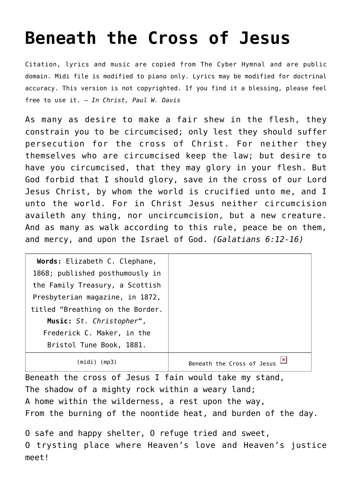## **[Beneath the Cross of Jesus](http://reproachofmen.org/hymns-and-music/beneath-the-cross-of-jesus/)**

Citation, lyrics and music are copied from [The Cyber Hymnal](http://www.hymntime.com/tch/index.htm) and are public domain. Midi file is modified to piano only. Lyrics may be modified for doctrinal accuracy. This version is not copyrighted. If you find it a blessing, please feel free to use it. — *In Christ, Paul W. Davis*

As many as desire to make a fair shew in the flesh, they constrain you to be circumcised; only lest they should suffer persecution for the cross of Christ. For neither they themselves who are circumcised keep the law; but desire to have you circumcised, that they may glory in your flesh. But God forbid that I should glory, save in the cross of our Lord Jesus Christ, by whom the world is crucified unto me, and I unto the world. For in Christ Jesus neither circumcision availeth any thing, nor uncircumcision, but a new creature. And as many as walk according to this rule, peace be on them, and mercy, and upon the Israel of God. *(Galatians 6:12-16)*

| Words: Elizabeth C. Clephane,    |                            |
|----------------------------------|----------------------------|
| 1868; published posthumously in  |                            |
| the Family Treasury, a Scottish  |                            |
| Presbyterian magazine, in 1872,  |                            |
| titled "Breathing on the Border. |                            |
| Music: St. Christopher",         |                            |
| Frederick C. Maker, in the       |                            |
| Bristol Tune Book, 1881.         |                            |
| (midi)<br>(mp3)                  | Beneath the Cross of Jesus |

Beneath the cross of Jesus I fain would take my stand, The shadow of a mighty rock within a weary land; A home within the wilderness, a rest upon the way, From the burning of the noontide heat, and burden of the day.

O safe and happy shelter, O refuge tried and sweet, O trysting place where Heaven's love and Heaven's justice meet!